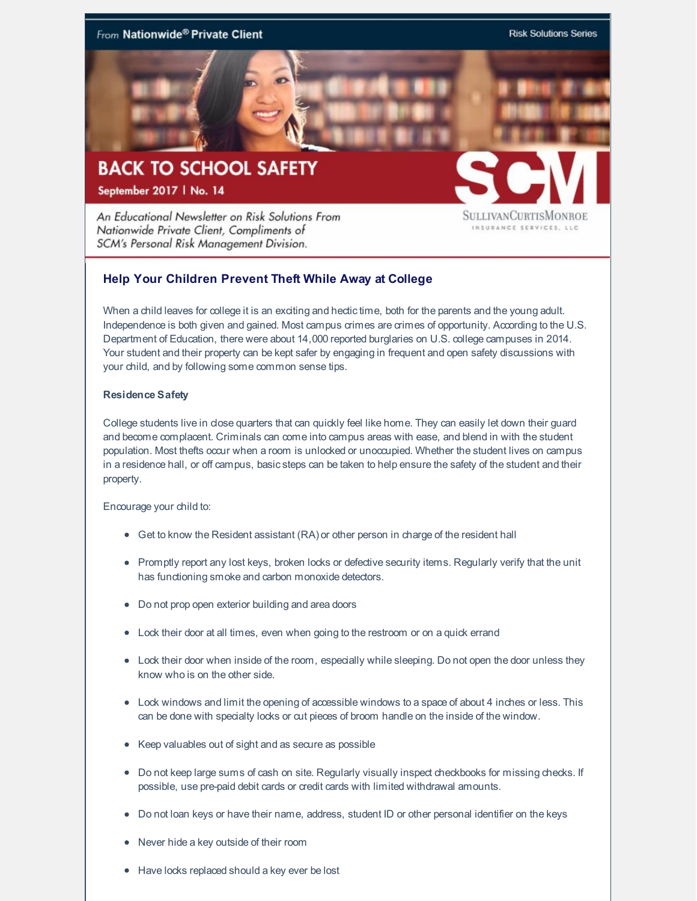

An Educational Newsletter on Risk Solutions From Nationwide Private Client, Compliments of SCM's Personal Risk Management Division.

SULLIVANCURTISMONROI INSURANCE SERVICES, LLC

# **Help Your Children Prevent Theft While Away at College**

When a child leaves for college it is an exciting and hectic time, both for the parents and the young adult. Independence is both given and gained. Most campus crimes are crimes of opportunity. According to the U.S. Department of Education, there were about 14,000 reported burglaries on U.S. college campuses in 2014. Your student and their property can be kept safer by engaging in frequent and open safety discussions with your child, and by following some common sense tips.

### **Residence Safety**

College students live in close quarters that can quickly feel like home. They can easily let down their guard and become complacent. Criminals can come into campus areas with ease, and blend in with the student population. Most thefts occur when a room is unlocked or unoccupied. Whether the student lives on campus in a residence hall, or off campus, basicsteps can be taken to help ensure the safety of the student and their property.

Encourage your child to:

- Get to know the Resident assistant (RA) or other person in charge of the resident hall
- Promptly report any lost keys, broken locks or defective security items. Regularly verify that the unit has functioning smoke and carbon monoxide detectors.
- Do not prop open exterior building and area doors
- Lock their door at all times, even when going to the restroom or on a quick errand
- Lock their door when inside of the room, especially while sleeping. Do not open the door unless they know who is on the other side.
- Lock windows and limit the opening of accessible windows to a space of about 4 inches or less. This can be done with specialty locks or cut pieces of broom handle on the inside of the window.
- Keep valuables out of sight and as secure as possible
- Do not keep large sums of cash on site. Regularly visually inspect checkbooks for missing checks. If possible, use pre-paid debit cards or credit cards with limited withdrawal amounts.
- Do not loan keys or have their name, address, student ID or other personal identifier on the keys
- Never hide a key outside of their room
- Have locks replaced should a key ever be lost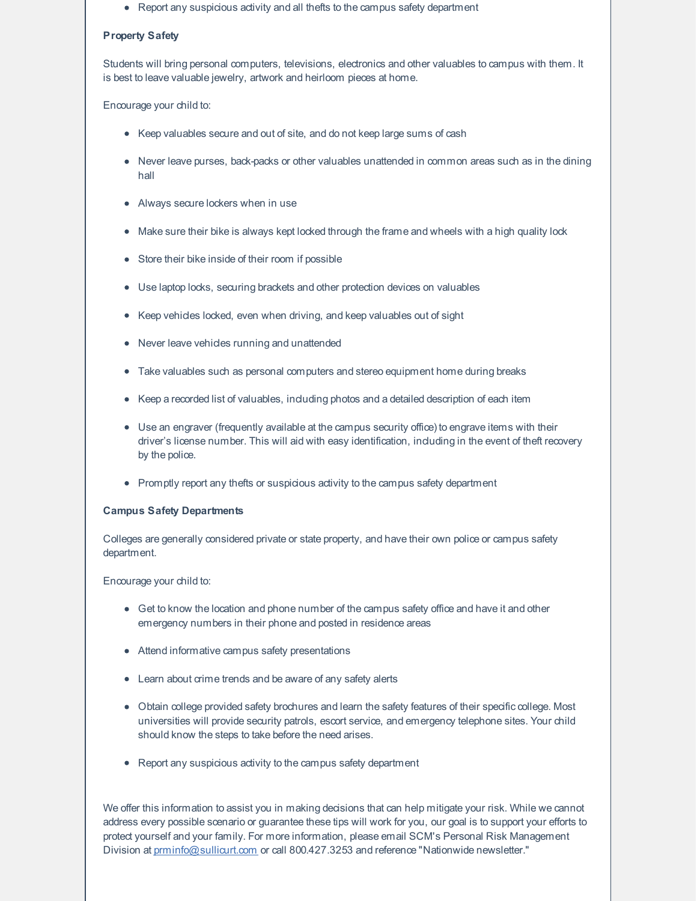• Report any suspicious activity and all thefts to the campus safety department

#### **Property Safety**

Students will bring personal computers, televisions, electronics and other valuables to campus with them. It is best to leave valuable jewelry, artwork and heirloom pieces at home.

#### Encourage your child to:

- Keep valuables secure and out of site, and do not keep large sums of cash
- Never leave purses, back-packs or other valuables unattended in common areas such as in the dining hall
- Always secure lockers when in use
- Make sure their bike is always kept locked through the frame and wheels with a high quality lock
- Store their bike inside of their room if possible
- Use laptop locks, securing brackets and other protection devices on valuables
- Keep vehicles locked, even when driving, and keep valuables out of sight
- Never leave vehicles running and unattended
- Take valuables such as personal computers and stereo equipment home during breaks
- Keep a recorded list of valuables, including photos and a detailed description of each item
- Use an engraver (frequently available at the campus security office) to engrave items with their driver's license number. This will aid with easy identification, including in the event of theft recovery by the police.
- Promptly report any thefts or suspicious activity to the campus safety department

#### **Campus Safety Departments**

Colleges are generally considered private or state property, and have their own police or campus safety department.

#### Encourage your child to:

- Get to know the location and phone number of the campus safety office and have it and other emergency numbers in their phone and posted in residence areas
- Attend informative campus safety presentations
- Learn about crime trends and be aware of any safety alerts
- Obtain college provided safety brochures and learn the safety features of their specificcollege. Most universities will provide security patrols, escort service, and emergency telephone sites. Your child should know the steps to take before the need arises.
- Report any suspicious activity to the campus safety department

We offer this information to assist you in making decisions that can help mitigate your risk. While we cannot address every possible scenario or guarantee these tips will work for you, our goal is to support your efforts to protect yourself and your family. For more information, please email SCM's Personal Risk Management Division at [prminfo@sullicurt.com](mailto:prminfo@sullicurt.com) or call 800.427.3253 and reference "Nationwide newsletter."